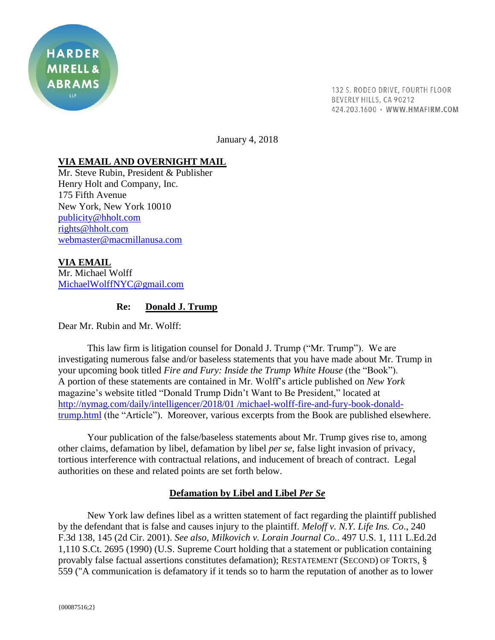

132 S. RODEO DRIVE, FOURTH FLOOR BEVERLY HILLS, CA 90212 424.203.1600 · WWW.HMAFIRM.COM

January 4, 2018

## **VIA EMAIL AND OVERNIGHT MAIL**

Mr. Steve Rubin, President & Publisher Henry Holt and Company, Inc. 175 Fifth Avenue New York, New York 10010 [publicity@hholt.com](mailto:publicity@hholt.com) [rights@hholt.com](mailto:rights@hholt.com) [webmaster@macmillanusa.com](mailto:webmaster@macmillanusa.com)

**VIA EMAIL** Mr. Michael Wolff [MichaelWolffNYC@gmail.com](mailto:MichaelWolffNYC@gmail.com)

## **Re: Donald J. Trump**

Dear Mr. Rubin and Mr. Wolff:

This law firm is litigation counsel for Donald J. Trump ("Mr. Trump"). We are investigating numerous false and/or baseless statements that you have made about Mr. Trump in your upcoming book titled *Fire and Fury: Inside the Trump White House* (the "Book"). A portion of these statements are contained in Mr. Wolff's article published on *New York*  magazine's website titled "Donald Trump Didn't Want to Be President," located at [http://nymag.com/daily/intelligencer/2018/01 /michael-wolff-fire-and-fury-book-donald](http://nymag.com/daily/intelligencer/2018/01%20/michael-wolff-fire-and-fury-book-donald-trump.html)[trump.html](http://nymag.com/daily/intelligencer/2018/01%20/michael-wolff-fire-and-fury-book-donald-trump.html) (the "Article"). Moreover, various excerpts from the Book are published elsewhere.

Your publication of the false/baseless statements about Mr. Trump gives rise to, among other claims, defamation by libel, defamation by libel *per se*, false light invasion of privacy, tortious interference with contractual relations, and inducement of breach of contract. Legal authorities on these and related points are set forth below.

# **Defamation by Libel and Libel** *Per Se*

New York law defines libel as a written statement of fact regarding the plaintiff published by the defendant that is false and causes injury to the plaintiff. *Meloff v. N.Y. Life Ins. Co*., 240 F.3d 138, 145 (2d Cir. 2001). *See also, Milkovich v. Lorain Journal Co*.. 497 U.S. 1, 111 L.Ed.2d 1,110 S.Ct. 2695 (1990) (U.S. Supreme Court holding that a statement or publication containing provably false factual assertions constitutes defamation); RESTATEMENT (SECOND) OF TORTS, § 559 ("A communication is defamatory if it tends so to harm the reputation of another as to lower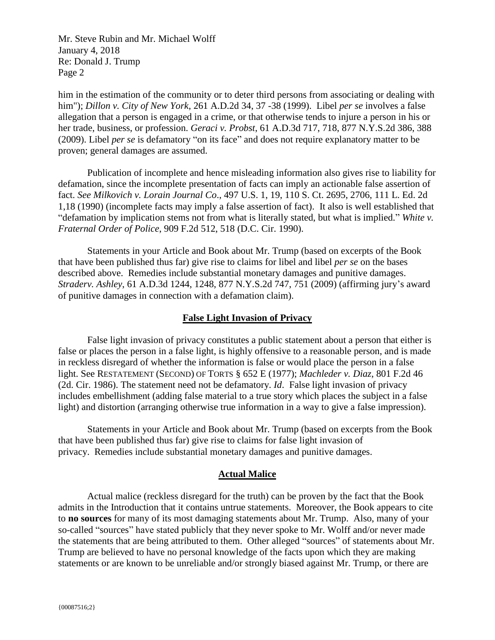him in the estimation of the community or to deter third persons from associating or dealing with him"); *Dillon v. City of New York*, 261 A.D.2d 34, 37 -38 (1999). Libel *per se* involves a false allegation that a person is engaged in a crime, or that otherwise tends to injure a person in his or her trade, business, or profession. *Geraci v. Probst*, 61 A.D.3d 717, 718, 877 N.Y.S.2d 386, 388 (2009). Libel *per se* is defamatory "on its face" and does not require explanatory matter to be proven; general damages are assumed.

Publication of incomplete and hence misleading information also gives rise to liability for defamation, since the incomplete presentation of facts can imply an actionable false assertion of fact. *See Milkovich v. Lorain Journal Co*., 497 U.S. 1, 19, 110 S. Ct. 2695, 2706, 111 L. Ed. 2d 1,18 (1990) (incomplete facts may imply a false assertion of fact). It also is well established that "defamation by implication stems not from what is literally stated, but what is implied." *White v. Fraternal Order of Police*, 909 F.2d 512, 518 (D.C. Cir. 1990).

Statements in your Article and Book about Mr. Trump (based on excerpts of the Book that have been published thus far) give rise to claims for libel and libel *per se* on the bases described above. Remedies include substantial monetary damages and punitive damages. *Straderv. Ashley*, 61 A.D.3d 1244, 1248, 877 N.Y.S.2d 747, 751 (2009) (affirming jury's award of punitive damages in connection with a defamation claim).

### **False Light Invasion of Privacy**

False light invasion of privacy constitutes a public statement about a person that either is false or places the person in a false light, is highly offensive to a reasonable person, and is made in reckless disregard of whether the information is false or would place the person in a false light. See RESTATEMENT (SECOND) OF TORTS § 652 E (1977); *Machleder v. Diaz*, 801 F.2d 46 (2d. Cir. 1986). The statement need not be defamatory. *Id*. False light invasion of privacy includes embellishment (adding false material to a true story which places the subject in a false light) and distortion (arranging otherwise true information in a way to give a false impression).

Statements in your Article and Book about Mr. Trump (based on excerpts from the Book that have been published thus far) give rise to claims for false light invasion of privacy. Remedies include substantial monetary damages and punitive damages.

### **Actual Malice**

Actual malice (reckless disregard for the truth) can be proven by the fact that the Book admits in the Introduction that it contains untrue statements. Moreover, the Book appears to cite to **no sources** for many of its most damaging statements about Mr. Trump. Also, many of your so-called "sources" have stated publicly that they never spoke to Mr. Wolff and/or never made the statements that are being attributed to them. Other alleged "sources" of statements about Mr. Trump are believed to have no personal knowledge of the facts upon which they are making statements or are known to be unreliable and/or strongly biased against Mr. Trump, or there are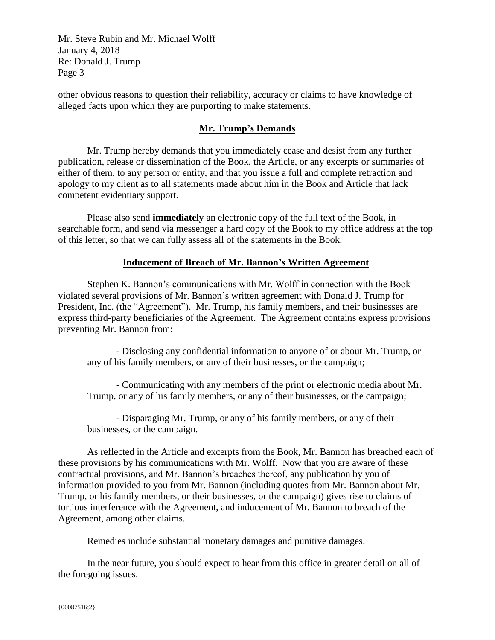other obvious reasons to question their reliability, accuracy or claims to have knowledge of alleged facts upon which they are purporting to make statements.

# **Mr. Trump's Demands**

Mr. Trump hereby demands that you immediately cease and desist from any further publication, release or dissemination of the Book, the Article, or any excerpts or summaries of either of them, to any person or entity, and that you issue a full and complete retraction and apology to my client as to all statements made about him in the Book and Article that lack competent evidentiary support.

Please also send **immediately** an electronic copy of the full text of the Book, in searchable form, and send via messenger a hard copy of the Book to my office address at the top of this letter, so that we can fully assess all of the statements in the Book.

## **Inducement of Breach of Mr. Bannon's Written Agreement**

Stephen K. Bannon's communications with Mr. Wolff in connection with the Book violated several provisions of Mr. Bannon's written agreement with Donald J. Trump for President, Inc. (the "Agreement"). Mr. Trump, his family members, and their businesses are express third-party beneficiaries of the Agreement. The Agreement contains express provisions preventing Mr. Bannon from:

- Disclosing any confidential information to anyone of or about Mr. Trump, or any of his family members, or any of their businesses, or the campaign;

- Communicating with any members of the print or electronic media about Mr. Trump, or any of his family members, or any of their businesses, or the campaign;

- Disparaging Mr. Trump, or any of his family members, or any of their businesses, or the campaign.

As reflected in the Article and excerpts from the Book, Mr. Bannon has breached each of these provisions by his communications with Mr. Wolff. Now that you are aware of these contractual provisions, and Mr. Bannon's breaches thereof, any publication by you of information provided to you from Mr. Bannon (including quotes from Mr. Bannon about Mr. Trump, or his family members, or their businesses, or the campaign) gives rise to claims of tortious interference with the Agreement, and inducement of Mr. Bannon to breach of the Agreement, among other claims.

Remedies include substantial monetary damages and punitive damages.

In the near future, you should expect to hear from this office in greater detail on all of the foregoing issues.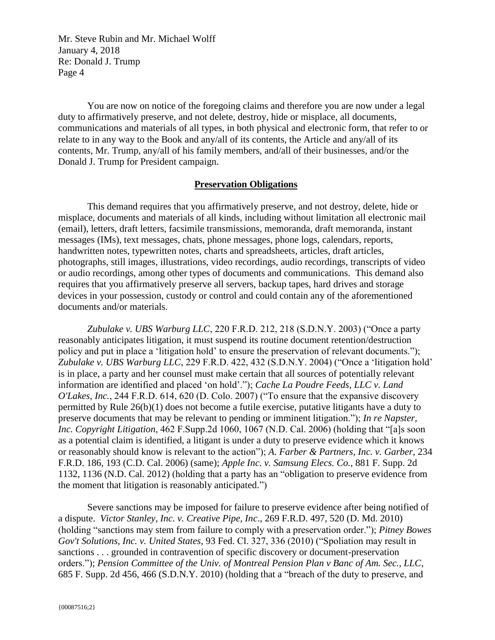You are now on notice of the foregoing claims and therefore you are now under a legal duty to affirmatively preserve, and not delete, destroy, hide or misplace, all documents, communications and materials of all types, in both physical and electronic form, that refer to or relate to in any way to the Book and any/all of its contents, the Article and any/all of its contents, Mr. Trump, any/all of his family members, and/all of their businesses, and/or the Donald J. Trump for President campaign.

### **Preservation Obligations**

This demand requires that you affirmatively preserve, and not destroy, delete, hide or misplace, documents and materials of all kinds, including without limitation all electronic mail (email), letters, draft letters, facsimile transmissions, memoranda, draft memoranda, instant messages (IMs), text messages, chats, phone messages, phone logs, calendars, reports, handwritten notes, typewritten notes, charts and spreadsheets, articles, draft articles, photographs, still images, illustrations, video recordings, audio recordings, transcripts of video or audio recordings, among other types of documents and communications. This demand also requires that you affirmatively preserve all servers, backup tapes, hard drives and storage devices in your possession, custody or control and could contain any of the aforementioned documents and/or materials.

*Zubulake v. UBS Warburg LLC*, 220 F.R.D. 212, 218 (S.D.N.Y. 2003) ("Once a party reasonably anticipates litigation, it must suspend its routine document retention/destruction policy and put in place a 'litigation hold' to ensure the preservation of relevant documents."); *Zubulake v. UBS Warburg LLC*, 229 F.R.D. 422, 432 (S.D.N.Y. 2004) ("Once a 'litigation hold' is in place, a party and her counsel must make certain that all sources of potentially relevant information are identified and placed 'on hold'."); *Cache La Poudre Feeds, LLC v. Land O'Lakes, Inc.*, 244 F.R.D. 614, 620 (D. Colo. 2007) ("To ensure that the expansive discovery permitted by Rule 26(b)(1) does not become a futile exercise, putative litigants have a duty to preserve documents that may be relevant to pending or imminent litigation."); *In re Napster, Inc. Copyright Litigation*, 462 F.Supp.2d 1060, 1067 (N.D. Cal. 2006) (holding that "[a]s soon as a potential claim is identified, a litigant is under a duty to preserve evidence which it knows or reasonably should know is relevant to the action"); *A. Farber & Partners, Inc. v. Garber*, 234 F.R.D. 186, 193 (C.D. Cal. 2006) (same); *Apple Inc. v. Samsung Elecs. Co.*, 881 F. Supp. 2d 1132, 1136 (N.D. Cal. 2012) (holding that a party has an "obligation to preserve evidence from the moment that litigation is reasonably anticipated.")

Severe sanctions may be imposed for failure to preserve evidence after being notified of a dispute. *Victor Stanley, Inc. v. Creative Pipe, Inc*., 269 F.R.D. 497, 520 (D. Md. 2010) (holding "sanctions may stem from failure to comply with a preservation order."); *Pitney Bowes Gov't Solutions, Inc. v. United States*, 93 Fed. Cl. 327, 336 (2010) ("Spoliation may result in sanctions . . . grounded in contravention of specific discovery or document-preservation orders."); *Pension Committee of the Univ. of Montreal Pension Plan v Banc of Am. Sec., LLC*, 685 F. Supp. 2d 456, 466 (S.D.N.Y. 2010) (holding that a "breach of the duty to preserve, and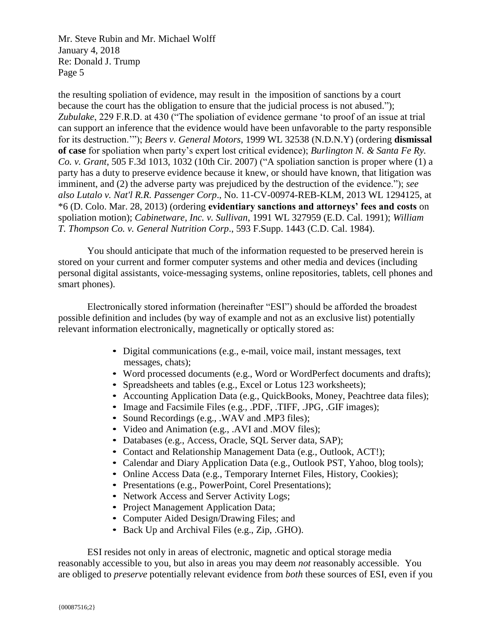the resulting spoliation of evidence, may result in the imposition of sanctions by a court because the court has the obligation to ensure that the judicial process is not abused."); *Zubulake*, 229 F.R.D. at 430 ("The spoliation of evidence germane 'to proof of an issue at trial can support an inference that the evidence would have been unfavorable to the party responsible for its destruction.'"); *Beers v. General Motors*, 1999 WL 32538 (N.D.N.Y) (ordering **dismissal of case** for spoliation when party's expert lost critical evidence); *Burlington N. & Santa Fe Ry. Co. v. Grant*, 505 F.3d 1013, 1032 (10th Cir. 2007) ("A spoliation sanction is proper where (1) a party has a duty to preserve evidence because it knew, or should have known, that litigation was imminent, and (2) the adverse party was prejudiced by the destruction of the evidence."); *see also Lutalo v. Nat'l R.R. Passenger Corp*., No. 11-CV-00974-REB-KLM, 2013 WL 1294125, at \*6 (D. Colo. Mar. 28, 2013) (ordering **evidentiary sanctions and attorneys' fees and costs** on spoliation motion); *Cabinetware, Inc. v. Sullivan*, 1991 WL 327959 (E.D. Cal. 1991); *William T. Thompson Co. v. General Nutrition Corp*., 593 F.Supp. 1443 (C.D. Cal. 1984).

You should anticipate that much of the information requested to be preserved herein is stored on your current and former computer systems and other media and devices (including personal digital assistants, voice-messaging systems, online repositories, tablets, cell phones and smart phones).

Electronically stored information (hereinafter "ESI") should be afforded the broadest possible definition and includes (by way of example and not as an exclusive list) potentially relevant information electronically, magnetically or optically stored as:

- Digital communications (e.g., e-mail, voice mail, instant messages, text messages, chats);
- Word processed documents (e.g., Word or WordPerfect documents and drafts);
- Spreadsheets and tables (e.g., Excel or Lotus 123 worksheets);
- Accounting Application Data (e.g., QuickBooks, Money, Peachtree data files);
- Image and Facsimile Files (e.g., .PDF, .TIFF, .JPG, .GIF images);
- Sound Recordings (e.g., .WAV and .MP3 files);
- Video and Animation (e.g., .AVI and .MOV files);
- Databases (e.g., Access, Oracle, SQL Server data, SAP);
- Contact and Relationship Management Data (e.g., Outlook, ACT!);
- Calendar and Diary Application Data (e.g., Outlook PST, Yahoo, blog tools);
- Online Access Data (e.g., Temporary Internet Files, History, Cookies);
- Presentations (e.g., PowerPoint, Corel Presentations);
- Network Access and Server Activity Logs;
- Project Management Application Data;
- Computer Aided Design/Drawing Files; and
- Back Up and Archival Files (e.g., Zip, .GHO).

ESI resides not only in areas of electronic, magnetic and optical storage media reasonably accessible to you, but also in areas you may deem *not* reasonably accessible. You are obliged to *preserve* potentially relevant evidence from *both* these sources of ESI, even if you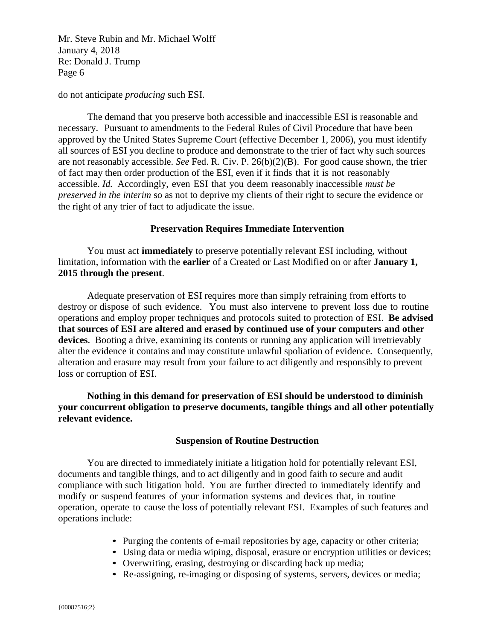do not anticipate *producing* such ESI.

The demand that you preserve both accessible and inaccessible ESI is reasonable and necessary. Pursuant to amendments to the Federal Rules of Civil Procedure that have been approved by the United States Supreme Court (effective December 1, 2006), you must identify all sources of ESI you decline to produce and demonstrate to the trier of fact why such sources are not reasonably accessible. *See* Fed. R. Civ. P. 26(b)(2)(B). For good cause shown, the trier of fact may then order production of the ESI, even if it finds that it is not reasonably accessible. *Id.* Accordingly, even ESI that you deem reasonably inaccessible *must be preserved in the interim* so as not to deprive my clients of their right to secure the evidence or the right of any trier of fact to adjudicate the issue.

### **Preservation Requires Immediate Intervention**

You must act **immediately** to preserve potentially relevant ESI including, without limitation, information with the **earlier** of a Created or Last Modified on or after **January 1, 2015 through the present**.

Adequate preservation of ESI requires more than simply refraining from efforts to destroy or dispose of such evidence. You must also intervene to prevent loss due to routine operations and employ proper techniques and protocols suited to protection of ESI. **Be advised that sources of ESI are altered and erased by continued use of your computers and other devices**. Booting a drive, examining its contents or running any application will irretrievably alter the evidence it contains and may constitute unlawful spoliation of evidence. Consequently, alteration and erasure may result from your failure to act diligently and responsibly to prevent loss or corruption of ESI.

**Nothing in this demand for preservation of ESI should be understood to diminish your concurrent obligation to preserve documents, tangible things and all other potentially relevant evidence.**

### **Suspension of Routine Destruction**

You are directed to immediately initiate a litigation hold for potentially relevant ESI, documents and tangible things, and to act diligently and in good faith to secure and audit compliance with such litigation hold. You are further directed to immediately identify and modify or suspend features of your information systems and devices that, in routine operation, operate to cause the loss of potentially relevant ESI. Examples of such features and operations include:

- Purging the contents of e-mail repositories by age, capacity or other criteria;
- Using data or media wiping, disposal, erasure or encryption utilities or devices;
- Overwriting, erasing, destroying or discarding back up media;
- Re-assigning, re-imaging or disposing of systems, servers, devices or media;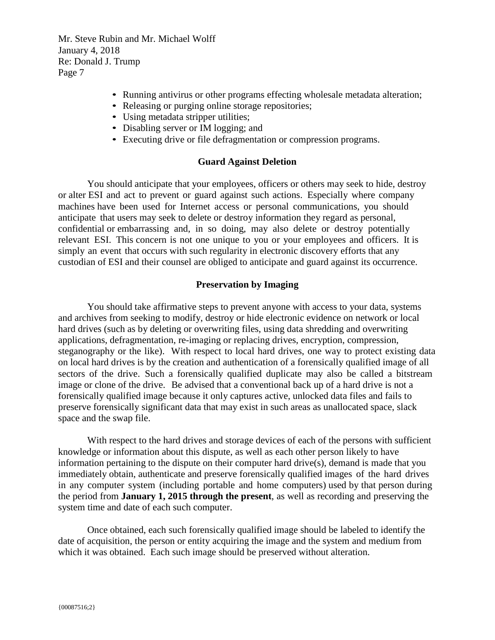- Running antivirus or other programs effecting wholesale metadata alteration;
- Releasing or purging online storage repositories;
- Using metadata stripper utilities;
- Disabling server or IM logging; and
- Executing drive or file defragmentation or compression programs.

### **Guard Against Deletion**

You should anticipate that your employees, officers or others may seek to hide, destroy or alter ESI and act to prevent or guard against such actions. Especially where company machines have been used for Internet access or personal communications, you should anticipate that users may seek to delete or destroy information they regard as personal, confidential or embarrassing and, in so doing, may also delete or destroy potentially relevant ESI. This concern is not one unique to you or your employees and officers. It is simply an event that occurs with such regularity in electronic discovery efforts that any custodian of ESI and their counsel are obliged to anticipate and guard against its occurrence.

#### **Preservation by Imaging**

You should take affirmative steps to prevent anyone with access to your data, systems and archives from seeking to modify, destroy or hide electronic evidence on network or local hard drives (such as by deleting or overwriting files, using data shredding and overwriting applications, defragmentation, re-imaging or replacing drives, encryption, compression, steganography or the like). With respect to local hard drives, one way to protect existing data on local hard drives is by the creation and authentication of a forensically qualified image of all sectors of the drive. Such a forensically qualified duplicate may also be called a bitstream image or clone of the drive. Be advised that a conventional back up of a hard drive is not a forensically qualified image because it only captures active, unlocked data files and fails to preserve forensically significant data that may exist in such areas as unallocated space, slack space and the swap file.

With respect to the hard drives and storage devices of each of the persons with sufficient knowledge or information about this dispute, as well as each other person likely to have information pertaining to the dispute on their computer hard drive(s), demand is made that you immediately obtain, authenticate and preserve forensically qualified images of the hard drives in any computer system (including portable and home computers) used by that person during the period from **January 1, 2015 through the present**, as well as recording and preserving the system time and date of each such computer.

Once obtained, each such forensically qualified image should be labeled to identify the date of acquisition, the person or entity acquiring the image and the system and medium from which it was obtained. Each such image should be preserved without alteration.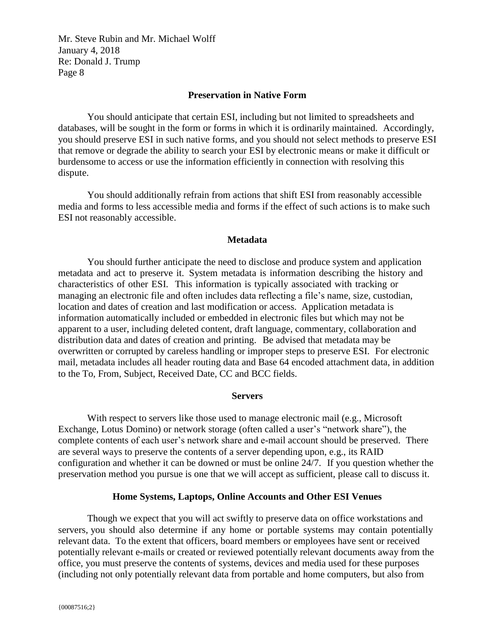### **Preservation in Native Form**

You should anticipate that certain ESI, including but not limited to spreadsheets and databases, will be sought in the form or forms in which it is ordinarily maintained. Accordingly, you should preserve ESI in such native forms, and you should not select methods to preserve ESI that remove or degrade the ability to search your ESI by electronic means or make it difficult or burdensome to access or use the information efficiently in connection with resolving this dispute.

You should additionally refrain from actions that shift ESI from reasonably accessible media and forms to less accessible media and forms if the effect of such actions is to make such ESI not reasonably accessible.

### **Metadata**

You should further anticipate the need to disclose and produce system and application metadata and act to preserve it. System metadata is information describing the history and characteristics of other ESI. This information is typically associated with tracking or managing an electronic file and often includes data reflecting a file's name, size, custodian, location and dates of creation and last modification or access. Application metadata is information automatically included or embedded in electronic files but which may not be apparent to a user, including deleted content, draft language, commentary, collaboration and distribution data and dates of creation and printing. Be advised that metadata may be overwritten or corrupted by careless handling or improper steps to preserve ESI. For electronic mail, metadata includes all header routing data and Base 64 encoded attachment data, in addition to the To, From, Subject, Received Date, CC and BCC fields.

#### **Servers**

With respect to servers like those used to manage electronic mail (e.g., Microsoft Exchange, Lotus Domino) or network storage (often called a user's "network share"), the complete contents of each user's network share and e-mail account should be preserved. There are several ways to preserve the contents of a server depending upon, e.g., its RAID configuration and whether it can be downed or must be online 24/7. If you question whether the preservation method you pursue is one that we will accept as sufficient, please call to discuss it.

### **Home Systems, Laptops, Online Accounts and Other ESI Venues**

Though we expect that you will act swiftly to preserve data on office workstations and servers, you should also determine if any home or portable systems may contain potentially relevant data. To the extent that officers, board members or employees have sent or received potentially relevant e-mails or created or reviewed potentially relevant documents away from the office, you must preserve the contents of systems, devices and media used for these purposes (including not only potentially relevant data from portable and home computers, but also from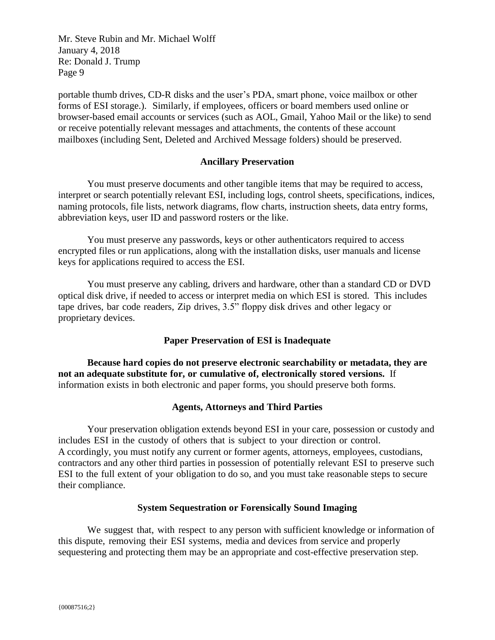portable thumb drives, CD-R disks and the user's PDA, smart phone, voice mailbox or other forms of ESI storage.). Similarly, if employees, officers or board members used online or browser-based email accounts or services (such as AOL, Gmail, Yahoo Mail or the like) to send or receive potentially relevant messages and attachments, the contents of these account mailboxes (including Sent, Deleted and Archived Message folders) should be preserved.

### **Ancillary Preservation**

You must preserve documents and other tangible items that may be required to access, interpret or search potentially relevant ESI, including logs, control sheets, specifications, indices, naming protocols, file lists, network diagrams, flow charts, instruction sheets, data entry forms, abbreviation keys, user ID and password rosters or the like.

You must preserve any passwords, keys or other authenticators required to access encrypted files or run applications, along with the installation disks, user manuals and license keys for applications required to access the ESI.

You must preserve any cabling, drivers and hardware, other than a standard CD or DVD optical disk drive, if needed to access or interpret media on which ESI is stored. This includes tape drives, bar code readers, Zip drives, 3.5" floppy disk drives and other legacy or proprietary devices.

### **Paper Preservation of ESI is Inadequate**

**Because hard copies do not preserve electronic searchability or metadata, they are not an adequate substitute for, or cumulative of, electronically stored versions.**If information exists in both electronic and paper forms, you should preserve both forms.

### **Agents, Attorneys and Third Parties**

Your preservation obligation extends beyond ESI in your care, possession or custody and includes ESI in the custody of others that is subject to your direction or control. A ccordingly, you must notify any current or former agents, attorneys, employees, custodians, contractors and any other third parties in possession of potentially relevant ESI to preserve such ESI to the full extent of your obligation to do so, and you must take reasonable steps to secure their compliance.

### **System Sequestration or Forensically Sound Imaging**

We suggest that, with respect to any person with sufficient knowledge or information of this dispute, removing their ESI systems, media and devices from service and properly sequestering and protecting them may be an appropriate and cost-effective preservation step.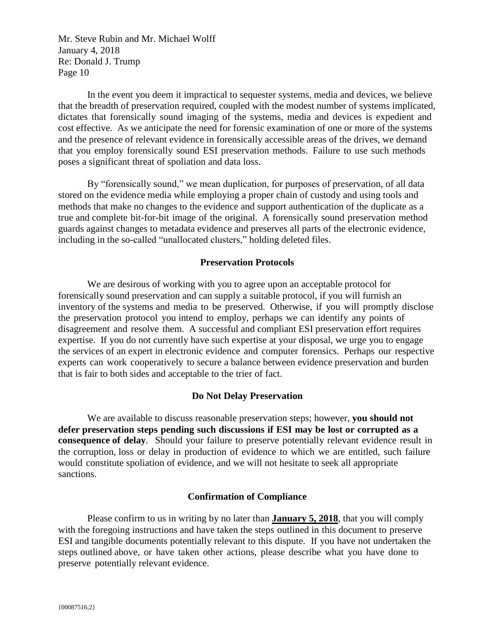In the event you deem it impractical to sequester systems, media and devices, we believe that the breadth of preservation required, coupled with the modest number of systems implicated, dictates that forensically sound imaging of the systems, media and devices is expedient and cost effective. As we anticipate the need for forensic examination of one or more of the systems and the presence of relevant evidence in forensically accessible areas of the drives, we demand that you employ forensically sound ESI preservation methods. Failure to use such methods poses a significant threat of spoliation and data loss.

By "forensically sound," we mean duplication, for purposes of preservation, of all data stored on the evidence media while employing a proper chain of custody and using tools and methods that make no changes to the evidence and support authentication of the duplicate as a true and complete bit-for-bit image of the original. A forensically sound preservation method guards against changes to metadata evidence and preserves all parts of the electronic evidence, including in the so-called "unallocated clusters," holding deleted files.

### **Preservation Protocols**

We are desirous of working with you to agree upon an acceptable protocol for forensically sound preservation and can supply a suitable protocol, if you will furnish an inventory of the systems and media to be preserved. Otherwise, if you will promptly disclose the preservation protocol you intend to employ, perhaps we can identify any points of disagreement and resolve them. A successful and compliant ESI preservation effort requires expertise. If you do not currently have such expertise at your disposal, we urge you to engage the services of an expert in electronic evidence and computer forensics. Perhaps our respective experts can work cooperatively to secure a balance between evidence preservation and burden that is fair to both sides and acceptable to the trier of fact.

### **Do Not Delay Preservation**

We are available to discuss reasonable preservation steps; however, **you should not defer preservation steps pending such discussions if ESI may be lost or corrupted as a consequence of delay***.* Should your failure to preserve potentially relevant evidence result in the corruption, loss or delay in production of evidence to which we are entitled, such failure would constitute spoliation of evidence, and we will not hesitate to seek all appropriate sanctions.

#### **Confirmation of Compliance**

Please confirm to us in writing by no later than **January 5, 2018**, that you will comply with the foregoing instructions and have taken the steps outlined in this document to preserve ESI and tangible documents potentially relevant to this dispute. If you have not undertaken the steps outlined above, or have taken other actions, please describe what you have done to preserve potentially relevant evidence.